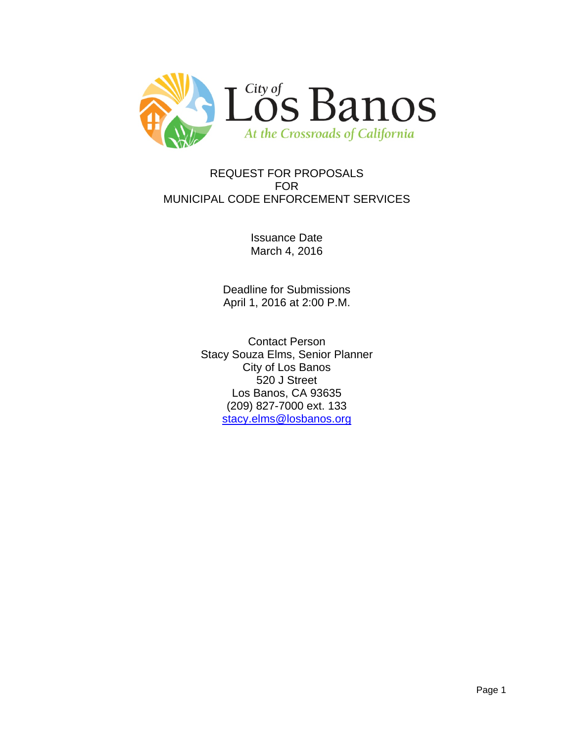

## REQUEST FOR PROPOSALS FOR MUNICIPAL CODE ENFORCEMENT SERVICES

Issuance Date March 4, 2016

Deadline for Submissions April 1, 2016 at 2:00 P.M.

Contact Person Stacy Souza Elms, Senior Planner City of Los Banos 520 J Street Los Banos, CA 93635 (209) 827-7000 ext. 133 [stacy.elms@losbanos.org](mailto:stacy.elms@losbanos.org)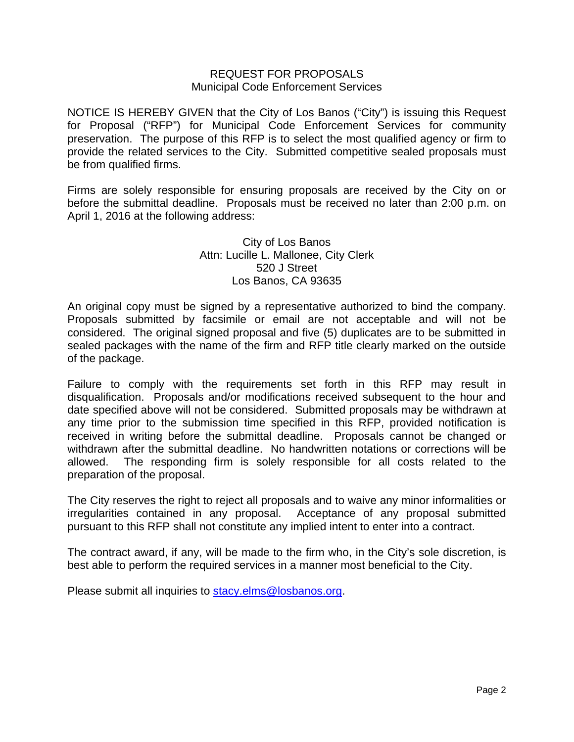#### REQUEST FOR PROPOSALS Municipal Code Enforcement Services

NOTICE IS HEREBY GIVEN that the City of Los Banos ("City") is issuing this Request for Proposal ("RFP") for Municipal Code Enforcement Services for community preservation. The purpose of this RFP is to select the most qualified agency or firm to provide the related services to the City. Submitted competitive sealed proposals must be from qualified firms.

Firms are solely responsible for ensuring proposals are received by the City on or before the submittal deadline. Proposals must be received no later than 2:00 p.m. on April 1, 2016 at the following address:

#### City of Los Banos Attn: Lucille L. Mallonee, City Clerk 520 J Street Los Banos, CA 93635

An original copy must be signed by a representative authorized to bind the company. Proposals submitted by facsimile or email are not acceptable and will not be considered. The original signed proposal and five (5) duplicates are to be submitted in sealed packages with the name of the firm and RFP title clearly marked on the outside of the package.

Failure to comply with the requirements set forth in this RFP may result in disqualification. Proposals and/or modifications received subsequent to the hour and date specified above will not be considered. Submitted proposals may be withdrawn at any time prior to the submission time specified in this RFP, provided notification is received in writing before the submittal deadline. Proposals cannot be changed or withdrawn after the submittal deadline. No handwritten notations or corrections will be allowed. The responding firm is solely responsible for all costs related to the preparation of the proposal.

The City reserves the right to reject all proposals and to waive any minor informalities or irregularities contained in any proposal. Acceptance of any proposal submitted pursuant to this RFP shall not constitute any implied intent to enter into a contract.

The contract award, if any, will be made to the firm who, in the City's sole discretion, is best able to perform the required services in a manner most beneficial to the City.

Please submit all inquiries to [stacy.elms@losbanos.org.](mailto:stacy.elms@losbanos.org)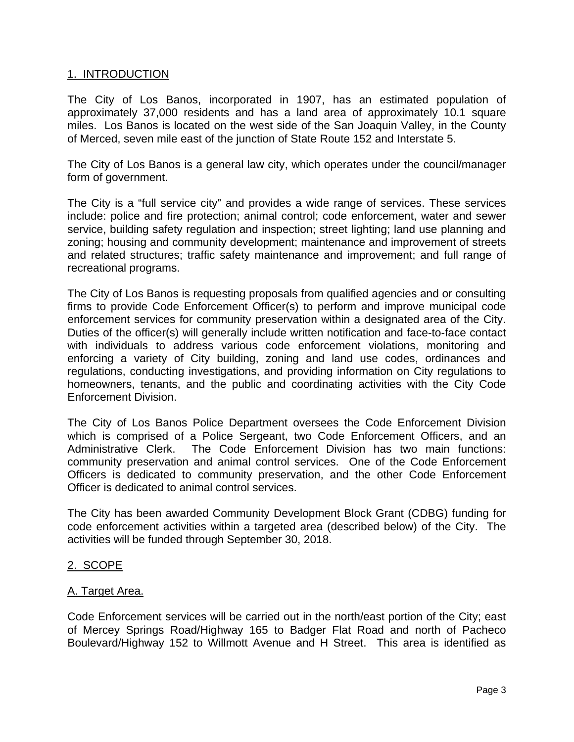## 1. INTRODUCTION

The City of Los Banos, incorporated in 1907, has an estimated population of approximately 37,000 residents and has a land area of approximately 10.1 square miles. Los Banos is located on the west side of the San Joaquin Valley, in the County of Merced, seven mile east of the junction of State Route 152 and Interstate 5.

The City of Los Banos is a general law city, which operates under the council/manager form of government.

The City is a "full service city" and provides a wide range of services. These services include: police and fire protection; animal control; code enforcement, water and sewer service, building safety regulation and inspection; street lighting; land use planning and zoning; housing and community development; maintenance and improvement of streets and related structures; traffic safety maintenance and improvement; and full range of recreational programs.

The City of Los Banos is requesting proposals from qualified agencies and or consulting firms to provide Code Enforcement Officer(s) to perform and improve municipal code enforcement services for community preservation within a designated area of the City. Duties of the officer(s) will generally include written notification and face-to-face contact with individuals to address various code enforcement violations, monitoring and enforcing a variety of City building, zoning and land use codes, ordinances and regulations, conducting investigations, and providing information on City regulations to homeowners, tenants, and the public and coordinating activities with the City Code Enforcement Division.

The City of Los Banos Police Department oversees the Code Enforcement Division which is comprised of a Police Sergeant, two Code Enforcement Officers, and an Administrative Clerk. The Code Enforcement Division has two main functions: community preservation and animal control services. One of the Code Enforcement Officers is dedicated to community preservation, and the other Code Enforcement Officer is dedicated to animal control services.

The City has been awarded Community Development Block Grant (CDBG) funding for code enforcement activities within a targeted area (described below) of the City. The activities will be funded through September 30, 2018.

## 2. SCOPE

## A. Target Area.

Code Enforcement services will be carried out in the north/east portion of the City; east of Mercey Springs Road/Highway 165 to Badger Flat Road and north of Pacheco Boulevard/Highway 152 to Willmott Avenue and H Street. This area is identified as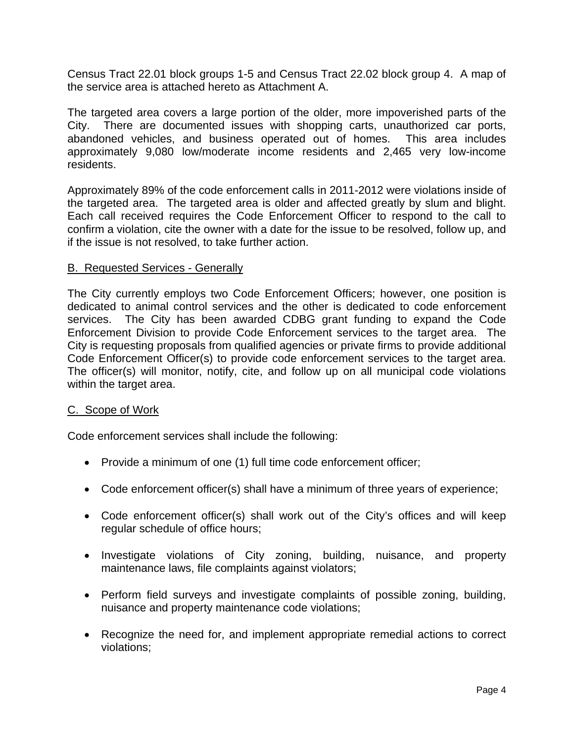Census Tract 22.01 block groups 1-5 and Census Tract 22.02 block group 4. A map of the service area is attached hereto as Attachment A.

The targeted area covers a large portion of the older, more impoverished parts of the City. There are documented issues with shopping carts, unauthorized car ports, abandoned vehicles, and business operated out of homes. This area includes approximately 9,080 low/moderate income residents and 2,465 very low-income residents.

Approximately 89% of the code enforcement calls in 2011-2012 were violations inside of the targeted area. The targeted area is older and affected greatly by slum and blight. Each call received requires the Code Enforcement Officer to respond to the call to confirm a violation, cite the owner with a date for the issue to be resolved, follow up, and if the issue is not resolved, to take further action.

## B. Requested Services - Generally

The City currently employs two Code Enforcement Officers; however, one position is dedicated to animal control services and the other is dedicated to code enforcement services. The City has been awarded CDBG grant funding to expand the Code Enforcement Division to provide Code Enforcement services to the target area. The City is requesting proposals from qualified agencies or private firms to provide additional Code Enforcement Officer(s) to provide code enforcement services to the target area. The officer(s) will monitor, notify, cite, and follow up on all municipal code violations within the target area.

#### C. Scope of Work

Code enforcement services shall include the following:

- Provide a minimum of one (1) full time code enforcement officer;
- Code enforcement officer(s) shall have a minimum of three years of experience;
- Code enforcement officer(s) shall work out of the City's offices and will keep regular schedule of office hours;
- Investigate violations of City zoning, building, nuisance, and property maintenance laws, file complaints against violators;
- Perform field surveys and investigate complaints of possible zoning, building, nuisance and property maintenance code violations;
- Recognize the need for, and implement appropriate remedial actions to correct violations;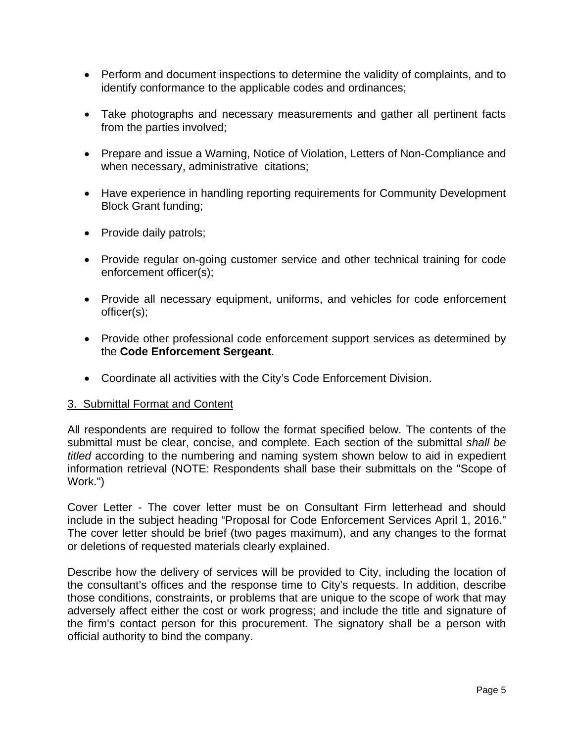- Perform and document inspections to determine the validity of complaints, and to identify conformance to the applicable codes and ordinances;
- Take photographs and necessary measurements and gather all pertinent facts from the parties involved;
- Prepare and issue a Warning, Notice of Violation, Letters of Non-Compliance and when necessary, administrative citations;
- Have experience in handling reporting requirements for Community Development Block Grant funding;
- Provide daily patrols;
- Provide regular on-going customer service and other technical training for code enforcement officer(s);
- Provide all necessary equipment, uniforms, and vehicles for code enforcement officer(s);
- Provide other professional code enforcement support services as determined by the **Code Enforcement Sergeant**.
- Coordinate all activities with the City's Code Enforcement Division.

#### 3. Submittal Format and Content

All respondents are required to follow the format specified below. The contents of the submittal must be clear, concise, and complete. Each section of the submittal *shall be titled* according to the numbering and naming system shown below to aid in expedient information retrieval (NOTE: Respondents shall base their submittals on the "Scope of Work.")

Cover Letter - The cover letter must be on Consultant Firm letterhead and should include in the subject heading "Proposal for Code Enforcement Services April 1, 2016." The cover letter should be brief (two pages maximum), and any changes to the format or deletions of requested materials clearly explained.

Describe how the delivery of services will be provided to City, including the location of the consultant's offices and the response time to City's requests. In addition, describe those conditions, constraints, or problems that are unique to the scope of work that may adversely affect either the cost or work progress; and include the title and signature of the firm's contact person for this procurement. The signatory shall be a person with official authority to bind the company.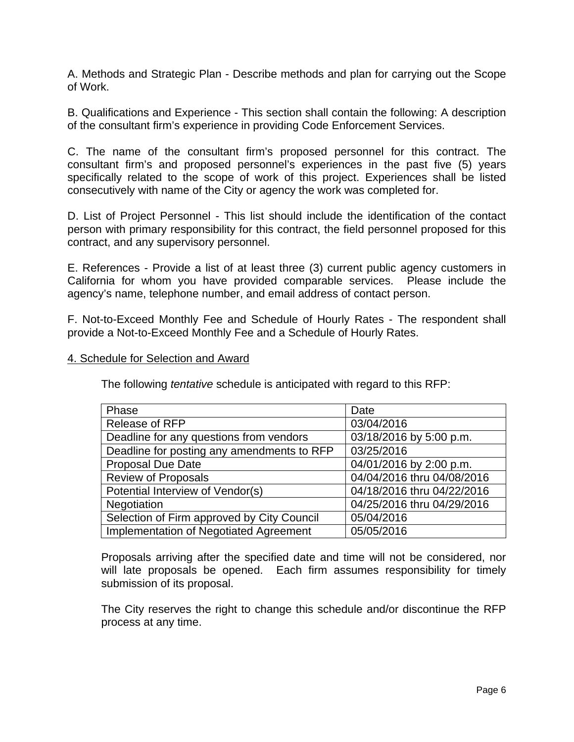A. Methods and Strategic Plan - Describe methods and plan for carrying out the Scope of Work.

B. Qualifications and Experience - This section shall contain the following: A description of the consultant firm's experience in providing Code Enforcement Services.

C. The name of the consultant firm's proposed personnel for this contract. The consultant firm's and proposed personnel's experiences in the past five (5) years specifically related to the scope of work of this project. Experiences shall be listed consecutively with name of the City or agency the work was completed for.

D. List of Project Personnel - This list should include the identification of the contact person with primary responsibility for this contract, the field personnel proposed for this contract, and any supervisory personnel.

E. References - Provide a list of at least three (3) current public agency customers in California for whom you have provided comparable services. Please include the agency's name, telephone number, and email address of contact person.

F. Not-to-Exceed Monthly Fee and Schedule of Hourly Rates - The respondent shall provide a Not-to-Exceed Monthly Fee and a Schedule of Hourly Rates.

#### 4. Schedule for Selection and Award

The following *tentative* schedule is anticipated with regard to this RFP:

| Phase                                      | Date                       |
|--------------------------------------------|----------------------------|
| Release of RFP                             | 03/04/2016                 |
| Deadline for any questions from vendors    | 03/18/2016 by 5:00 p.m.    |
| Deadline for posting any amendments to RFP | 03/25/2016                 |
| <b>Proposal Due Date</b>                   | 04/01/2016 by 2:00 p.m.    |
| <b>Review of Proposals</b>                 | 04/04/2016 thru 04/08/2016 |
| Potential Interview of Vendor(s)           | 04/18/2016 thru 04/22/2016 |
| Negotiation                                | 04/25/2016 thru 04/29/2016 |
| Selection of Firm approved by City Council | 05/04/2016                 |
| Implementation of Negotiated Agreement     | 05/05/2016                 |

Proposals arriving after the specified date and time will not be considered, nor will late proposals be opened. Each firm assumes responsibility for timely submission of its proposal.

The City reserves the right to change this schedule and/or discontinue the RFP process at any time.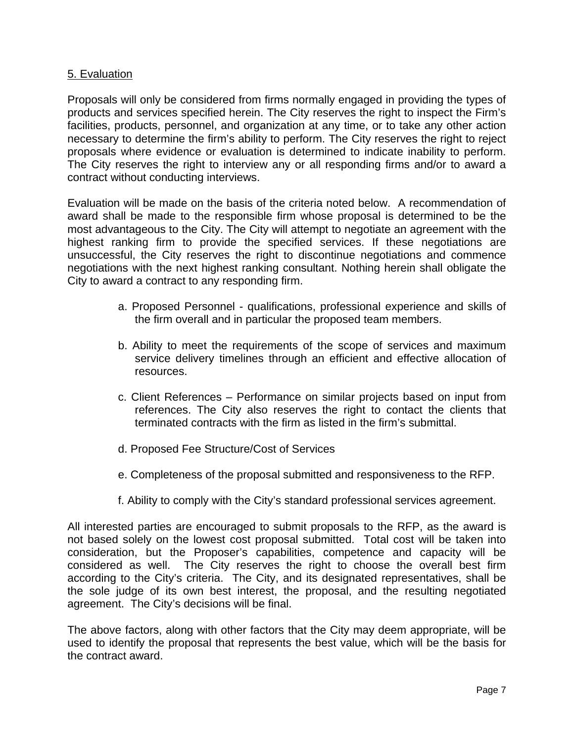## 5. Evaluation

Proposals will only be considered from firms normally engaged in providing the types of products and services specified herein. The City reserves the right to inspect the Firm's facilities, products, personnel, and organization at any time, or to take any other action necessary to determine the firm's ability to perform. The City reserves the right to reject proposals where evidence or evaluation is determined to indicate inability to perform. The City reserves the right to interview any or all responding firms and/or to award a contract without conducting interviews.

Evaluation will be made on the basis of the criteria noted below. A recommendation of award shall be made to the responsible firm whose proposal is determined to be the most advantageous to the City. The City will attempt to negotiate an agreement with the highest ranking firm to provide the specified services. If these negotiations are unsuccessful, the City reserves the right to discontinue negotiations and commence negotiations with the next highest ranking consultant. Nothing herein shall obligate the City to award a contract to any responding firm.

- a. Proposed Personnel qualifications, professional experience and skills of the firm overall and in particular the proposed team members.
- b. Ability to meet the requirements of the scope of services and maximum service delivery timelines through an efficient and effective allocation of resources.
- c. Client References Performance on similar projects based on input from references. The City also reserves the right to contact the clients that terminated contracts with the firm as listed in the firm's submittal.
- d. Proposed Fee Structure/Cost of Services
- e. Completeness of the proposal submitted and responsiveness to the RFP.
- f. Ability to comply with the City's standard professional services agreement.

All interested parties are encouraged to submit proposals to the RFP, as the award is not based solely on the lowest cost proposal submitted. Total cost will be taken into consideration, but the Proposer's capabilities, competence and capacity will be considered as well. The City reserves the right to choose the overall best firm according to the City's criteria. The City, and its designated representatives, shall be the sole judge of its own best interest, the proposal, and the resulting negotiated agreement. The City's decisions will be final.

The above factors, along with other factors that the City may deem appropriate, will be used to identify the proposal that represents the best value, which will be the basis for the contract award.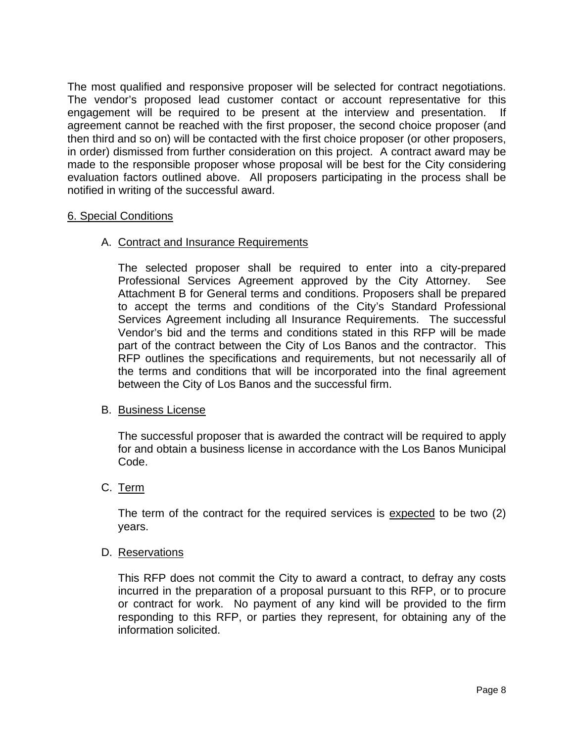The most qualified and responsive proposer will be selected for contract negotiations. The vendor's proposed lead customer contact or account representative for this engagement will be required to be present at the interview and presentation. If agreement cannot be reached with the first proposer, the second choice proposer (and then third and so on) will be contacted with the first choice proposer (or other proposers, in order) dismissed from further consideration on this project. A contract award may be made to the responsible proposer whose proposal will be best for the City considering evaluation factors outlined above. All proposers participating in the process shall be notified in writing of the successful award.

## 6. Special Conditions

## A. Contract and Insurance Requirements

The selected proposer shall be required to enter into a city-prepared Professional Services Agreement approved by the City Attorney. See Attachment B for General terms and conditions. Proposers shall be prepared to accept the terms and conditions of the City's Standard Professional Services Agreement including all Insurance Requirements. The successful Vendor's bid and the terms and conditions stated in this RFP will be made part of the contract between the City of Los Banos and the contractor. This RFP outlines the specifications and requirements, but not necessarily all of the terms and conditions that will be incorporated into the final agreement between the City of Los Banos and the successful firm.

#### B. Business License

The successful proposer that is awarded the contract will be required to apply for and obtain a business license in accordance with the Los Banos Municipal Code.

## C. Term

The term of the contract for the required services is expected to be two (2) years.

#### D. Reservations

This RFP does not commit the City to award a contract, to defray any costs incurred in the preparation of a proposal pursuant to this RFP, or to procure or contract for work. No payment of any kind will be provided to the firm responding to this RFP, or parties they represent, for obtaining any of the information solicited.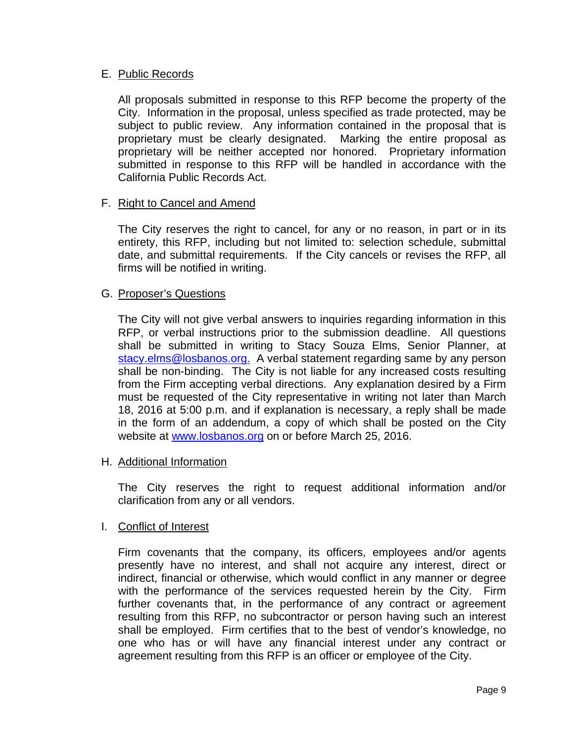## E. Public Records

All proposals submitted in response to this RFP become the property of the City. Information in the proposal, unless specified as trade protected, may be subject to public review. Any information contained in the proposal that is proprietary must be clearly designated. Marking the entire proposal as proprietary will be neither accepted nor honored. Proprietary information submitted in response to this RFP will be handled in accordance with the California Public Records Act.

## F. Right to Cancel and Amend

The City reserves the right to cancel, for any or no reason, in part or in its entirety, this RFP, including but not limited to: selection schedule, submittal date, and submittal requirements. If the City cancels or revises the RFP, all firms will be notified in writing.

## G. Proposer's Questions

The City will not give verbal answers to inquiries regarding information in this RFP, or verbal instructions prior to the submission deadline. All questions shall be submitted in writing to Stacy Souza Elms, Senior Planner, at [stacy.elms@losbanos.org.](mailto:stacy.elms@losbanos.org) A verbal statement regarding same by any person shall be non-binding. The City is not liable for any increased costs resulting from the Firm accepting verbal directions. Any explanation desired by a Firm must be requested of the City representative in writing not later than March 18, 2016 at 5:00 p.m. and if explanation is necessary, a reply shall be made in the form of an addendum, a copy of which shall be posted on the City website at [www.losbanos.org](http://www.losbanos.org/) on or before March 25, 2016.

#### H. Additional Information

The City reserves the right to request additional information and/or clarification from any or all vendors.

#### I. Conflict of Interest

Firm covenants that the company, its officers, employees and/or agents presently have no interest, and shall not acquire any interest, direct or indirect, financial or otherwise, which would conflict in any manner or degree with the performance of the services requested herein by the City. Firm further covenants that, in the performance of any contract or agreement resulting from this RFP, no subcontractor or person having such an interest shall be employed. Firm certifies that to the best of vendor's knowledge, no one who has or will have any financial interest under any contract or agreement resulting from this RFP is an officer or employee of the City.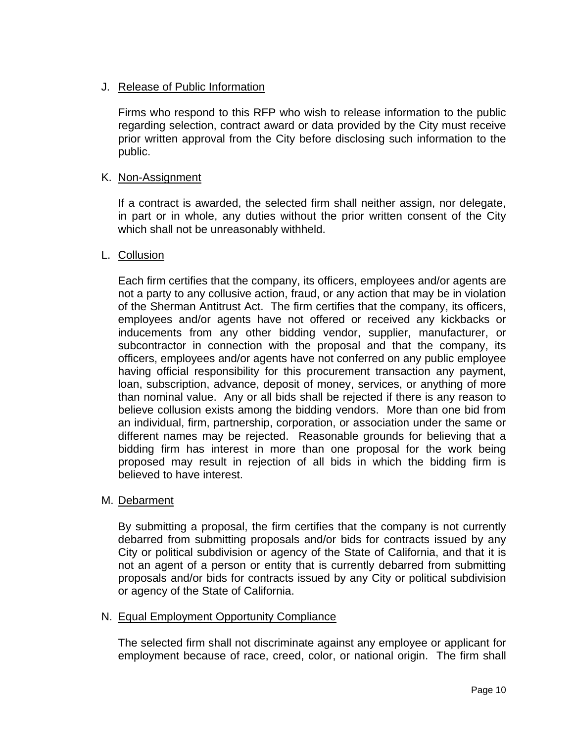## J. Release of Public Information

Firms who respond to this RFP who wish to release information to the public regarding selection, contract award or data provided by the City must receive prior written approval from the City before disclosing such information to the public.

## K. Non-Assignment

If a contract is awarded, the selected firm shall neither assign, nor delegate, in part or in whole, any duties without the prior written consent of the City which shall not be unreasonably withheld.

## L. Collusion

Each firm certifies that the company, its officers, employees and/or agents are not a party to any collusive action, fraud, or any action that may be in violation of the Sherman Antitrust Act. The firm certifies that the company, its officers, employees and/or agents have not offered or received any kickbacks or inducements from any other bidding vendor, supplier, manufacturer, or subcontractor in connection with the proposal and that the company, its officers, employees and/or agents have not conferred on any public employee having official responsibility for this procurement transaction any payment, loan, subscription, advance, deposit of money, services, or anything of more than nominal value. Any or all bids shall be rejected if there is any reason to believe collusion exists among the bidding vendors. More than one bid from an individual, firm, partnership, corporation, or association under the same or different names may be rejected. Reasonable grounds for believing that a bidding firm has interest in more than one proposal for the work being proposed may result in rejection of all bids in which the bidding firm is believed to have interest.

#### M. Debarment

By submitting a proposal, the firm certifies that the company is not currently debarred from submitting proposals and/or bids for contracts issued by any City or political subdivision or agency of the State of California, and that it is not an agent of a person or entity that is currently debarred from submitting proposals and/or bids for contracts issued by any City or political subdivision or agency of the State of California.

#### N. Equal Employment Opportunity Compliance

The selected firm shall not discriminate against any employee or applicant for employment because of race, creed, color, or national origin. The firm shall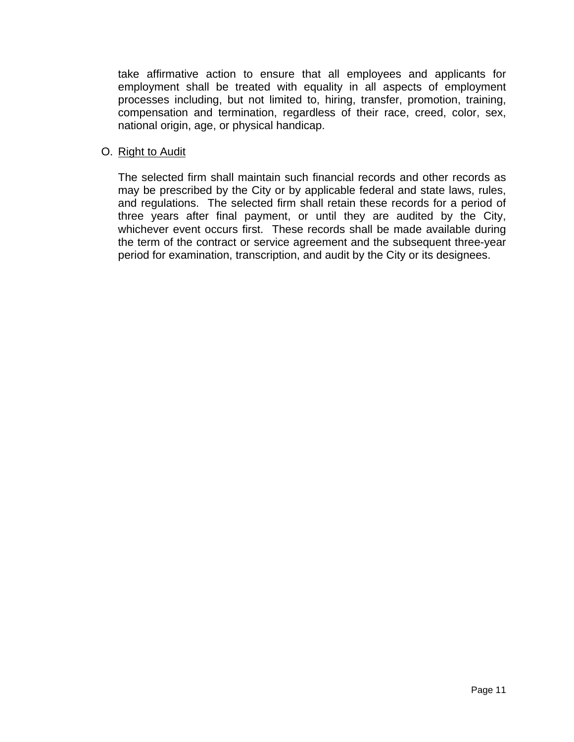take affirmative action to ensure that all employees and applicants for employment shall be treated with equality in all aspects of employment processes including, but not limited to, hiring, transfer, promotion, training, compensation and termination, regardless of their race, creed, color, sex, national origin, age, or physical handicap.

## O. Right to Audit

The selected firm shall maintain such financial records and other records as may be prescribed by the City or by applicable federal and state laws, rules, and regulations. The selected firm shall retain these records for a period of three years after final payment, or until they are audited by the City, whichever event occurs first. These records shall be made available during the term of the contract or service agreement and the subsequent three-year period for examination, transcription, and audit by the City or its designees.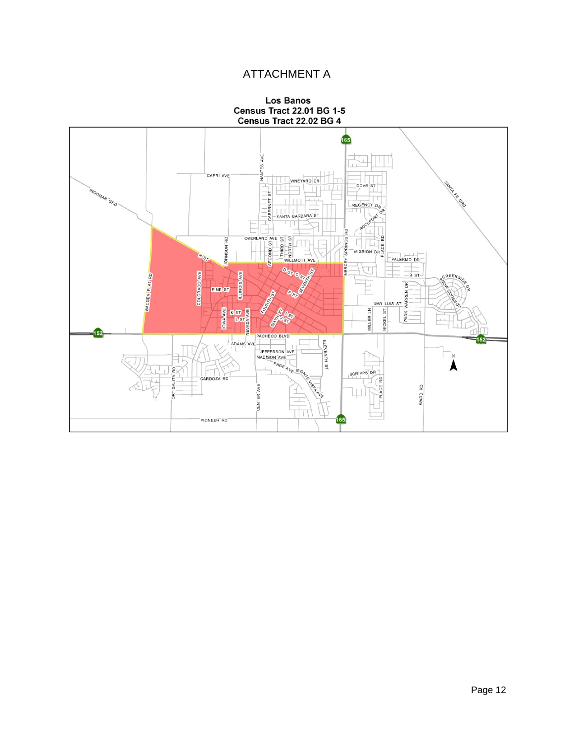# ATTACHMENT A



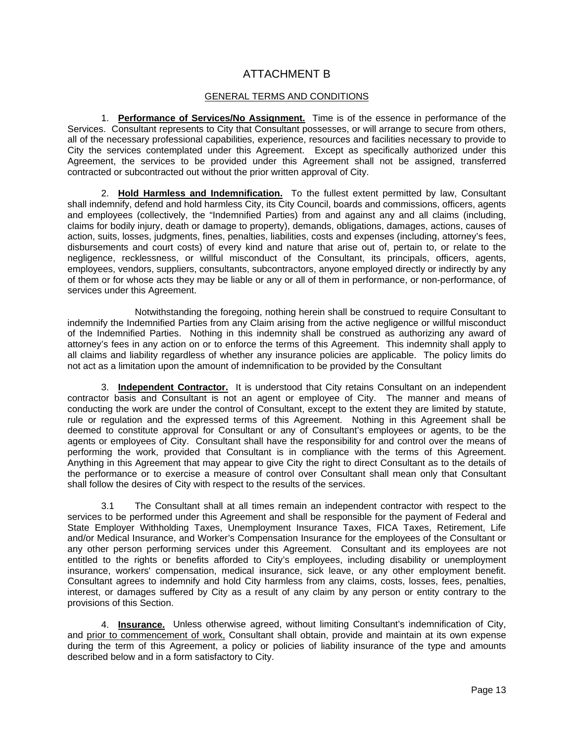## ATTACHMENT B

#### GENERAL TERMS AND CONDITIONS

1. **Performance of Services/No Assignment.** Time is of the essence in performance of the Services. Consultant represents to City that Consultant possesses, or will arrange to secure from others, all of the necessary professional capabilities, experience, resources and facilities necessary to provide to City the services contemplated under this Agreement. Except as specifically authorized under this Agreement, the services to be provided under this Agreement shall not be assigned, transferred contracted or subcontracted out without the prior written approval of City.

2. **Hold Harmless and Indemnification.** To the fullest extent permitted by law, Consultant shall indemnify, defend and hold harmless City, its City Council, boards and commissions, officers, agents and employees (collectively, the "Indemnified Parties) from and against any and all claims (including, claims for bodily injury, death or damage to property), demands, obligations, damages, actions, causes of action, suits, losses, judgments, fines, penalties, liabilities, costs and expenses (including, attorney's fees, disbursements and court costs) of every kind and nature that arise out of, pertain to, or relate to the negligence, recklessness, or willful misconduct of the Consultant, its principals, officers, agents, employees, vendors, suppliers, consultants, subcontractors, anyone employed directly or indirectly by any of them or for whose acts they may be liable or any or all of them in performance, or non-performance, of services under this Agreement.

 Notwithstanding the foregoing, nothing herein shall be construed to require Consultant to indemnify the Indemnified Parties from any Claim arising from the active negligence or willful misconduct of the Indemnified Parties. Nothing in this indemnity shall be construed as authorizing any award of attorney's fees in any action on or to enforce the terms of this Agreement. This indemnity shall apply to all claims and liability regardless of whether any insurance policies are applicable. The policy limits do not act as a limitation upon the amount of indemnification to be provided by the Consultant

3. **Independent Contractor.** It is understood that City retains Consultant on an independent contractor basis and Consultant is not an agent or employee of City. The manner and means of conducting the work are under the control of Consultant, except to the extent they are limited by statute, rule or regulation and the expressed terms of this Agreement. Nothing in this Agreement shall be deemed to constitute approval for Consultant or any of Consultant's employees or agents, to be the agents or employees of City. Consultant shall have the responsibility for and control over the means of performing the work, provided that Consultant is in compliance with the terms of this Agreement. Anything in this Agreement that may appear to give City the right to direct Consultant as to the details of the performance or to exercise a measure of control over Consultant shall mean only that Consultant shall follow the desires of City with respect to the results of the services.

3.1 The Consultant shall at all times remain an independent contractor with respect to the services to be performed under this Agreement and shall be responsible for the payment of Federal and State Employer Withholding Taxes, Unemployment Insurance Taxes, FICA Taxes, Retirement, Life and/or Medical Insurance, and Worker's Compensation Insurance for the employees of the Consultant or any other person performing services under this Agreement. Consultant and its employees are not entitled to the rights or benefits afforded to City's employees, including disability or unemployment insurance, workers' compensation, medical insurance, sick leave, or any other employment benefit. Consultant agrees to indemnify and hold City harmless from any claims, costs, losses, fees, penalties, interest, or damages suffered by City as a result of any claim by any person or entity contrary to the provisions of this Section.

4. **Insurance.** Unless otherwise agreed, without limiting Consultant's indemnification of City, and prior to commencement of work, Consultant shall obtain, provide and maintain at its own expense during the term of this Agreement, a policy or policies of liability insurance of the type and amounts described below and in a form satisfactory to City.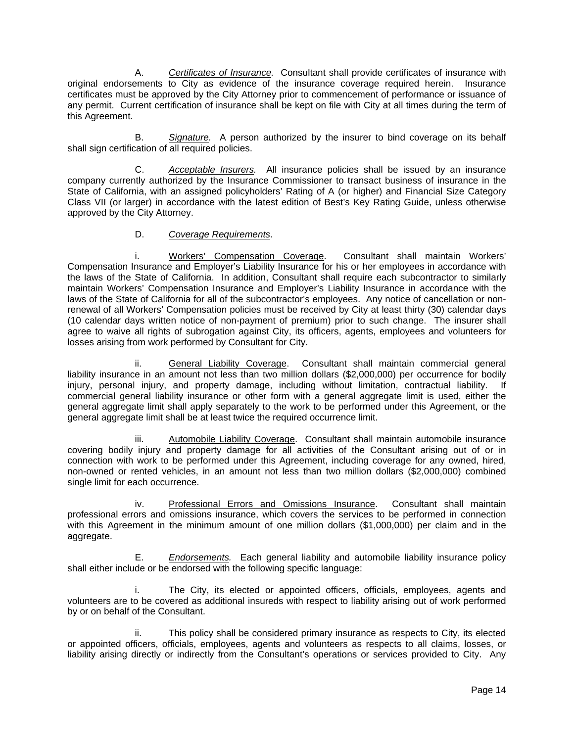A. *Certificates of Insurance.* Consultant shall provide certificates of insurance with original endorsements to City as evidence of the insurance coverage required herein. Insurance certificates must be approved by the City Attorney prior to commencement of performance or issuance of any permit. Current certification of insurance shall be kept on file with City at all times during the term of this Agreement.

 B. *Signature.* A person authorized by the insurer to bind coverage on its behalf shall sign certification of all required policies.

 C. *Acceptable Insurers.* All insurance policies shall be issued by an insurance company currently authorized by the Insurance Commissioner to transact business of insurance in the State of California, with an assigned policyholders' Rating of A (or higher) and Financial Size Category Class VII (or larger) in accordance with the latest edition of Best's Key Rating Guide, unless otherwise approved by the City Attorney.

#### D. *Coverage Requirements*.

 i. Workers' Compensation Coverage. Consultant shall maintain Workers' Compensation Insurance and Employer's Liability Insurance for his or her employees in accordance with the laws of the State of California. In addition, Consultant shall require each subcontractor to similarly maintain Workers' Compensation Insurance and Employer's Liability Insurance in accordance with the laws of the State of California for all of the subcontractor's employees. Any notice of cancellation or nonrenewal of all Workers' Compensation policies must be received by City at least thirty (30) calendar days (10 calendar days written notice of non-payment of premium) prior to such change. The insurer shall agree to waive all rights of subrogation against City, its officers, agents, employees and volunteers for losses arising from work performed by Consultant for City.

 ii. General Liability Coverage. Consultant shall maintain commercial general liability insurance in an amount not less than two million dollars (\$2,000,000) per occurrence for bodily injury, personal injury, and property damage, including without limitation, contractual liability. If commercial general liability insurance or other form with a general aggregate limit is used, either the general aggregate limit shall apply separately to the work to be performed under this Agreement, or the general aggregate limit shall be at least twice the required occurrence limit.

 iii. Automobile Liability Coverage. Consultant shall maintain automobile insurance covering bodily injury and property damage for all activities of the Consultant arising out of or in connection with work to be performed under this Agreement, including coverage for any owned, hired, non-owned or rented vehicles, in an amount not less than two million dollars (\$2,000,000) combined single limit for each occurrence.

 iv. Professional Errors and Omissions Insurance. Consultant shall maintain professional errors and omissions insurance, which covers the services to be performed in connection with this Agreement in the minimum amount of one million dollars (\$1,000,000) per claim and in the aggregate.

 E. *Endorsements.* Each general liability and automobile liability insurance policy shall either include or be endorsed with the following specific language:

 i. The City, its elected or appointed officers, officials, employees, agents and volunteers are to be covered as additional insureds with respect to liability arising out of work performed by or on behalf of the Consultant.

 ii. This policy shall be considered primary insurance as respects to City, its elected or appointed officers, officials, employees, agents and volunteers as respects to all claims, losses, or liability arising directly or indirectly from the Consultant's operations or services provided to City. Any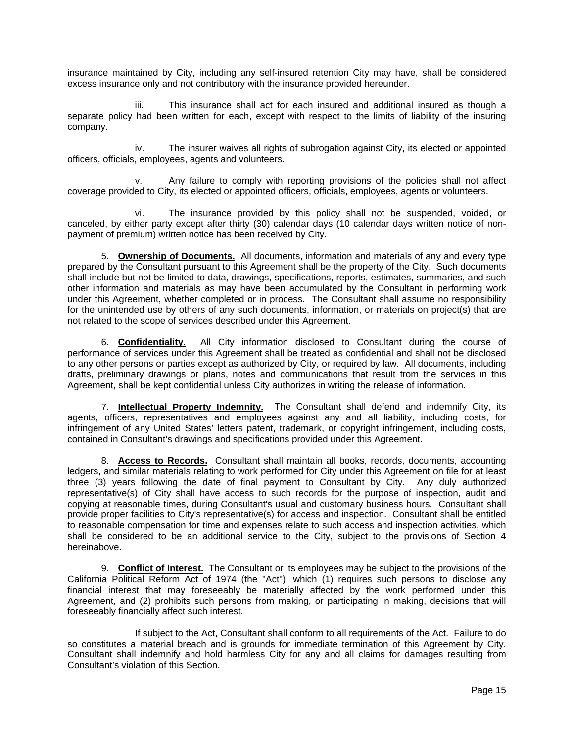insurance maintained by City, including any self-insured retention City may have, shall be considered excess insurance only and not contributory with the insurance provided hereunder.

 iii. This insurance shall act for each insured and additional insured as though a separate policy had been written for each, except with respect to the limits of liability of the insuring company.

 iv. The insurer waives all rights of subrogation against City, its elected or appointed officers, officials, employees, agents and volunteers.

 v. Any failure to comply with reporting provisions of the policies shall not affect coverage provided to City, its elected or appointed officers, officials, employees, agents or volunteers.

 vi. The insurance provided by this policy shall not be suspended, voided, or canceled, by either party except after thirty (30) calendar days (10 calendar days written notice of nonpayment of premium) written notice has been received by City.

5. **Ownership of Documents.** All documents, information and materials of any and every type prepared by the Consultant pursuant to this Agreement shall be the property of the City. Such documents shall include but not be limited to data, drawings, specifications, reports, estimates, summaries, and such other information and materials as may have been accumulated by the Consultant in performing work under this Agreement, whether completed or in process. The Consultant shall assume no responsibility for the unintended use by others of any such documents, information, or materials on project(s) that are not related to the scope of services described under this Agreement.

6. **Confidentiality.** All City information disclosed to Consultant during the course of performance of services under this Agreement shall be treated as confidential and shall not be disclosed to any other persons or parties except as authorized by City, or required by law. All documents, including drafts, preliminary drawings or plans, notes and communications that result from the services in this Agreement, shall be kept confidential unless City authorizes in writing the release of information.

7. **Intellectual Property Indemnity.** The Consultant shall defend and indemnify City, its agents, officers, representatives and employees against any and all liability, including costs, for infringement of any United States' letters patent, trademark, or copyright infringement, including costs, contained in Consultant's drawings and specifications provided under this Agreement.

8. **Access to Records.** Consultant shall maintain all books, records, documents, accounting ledgers, and similar materials relating to work performed for City under this Agreement on file for at least three (3) years following the date of final payment to Consultant by City. Any duly authorized representative(s) of City shall have access to such records for the purpose of inspection, audit and copying at reasonable times, during Consultant's usual and customary business hours. Consultant shall provide proper facilities to City's representative(s) for access and inspection. Consultant shall be entitled to reasonable compensation for time and expenses relate to such access and inspection activities, which shall be considered to be an additional service to the City, subject to the provisions of Section 4 hereinabove.

9. **Conflict of Interest.** The Consultant or its employees may be subject to the provisions of the California Political Reform Act of 1974 (the "Act"), which (1) requires such persons to disclose any financial interest that may foreseeably be materially affected by the work performed under this Agreement, and (2) prohibits such persons from making, or participating in making, decisions that will foreseeably financially affect such interest.

 If subject to the Act, Consultant shall conform to all requirements of the Act. Failure to do so constitutes a material breach and is grounds for immediate termination of this Agreement by City. Consultant shall indemnify and hold harmless City for any and all claims for damages resulting from Consultant's violation of this Section.